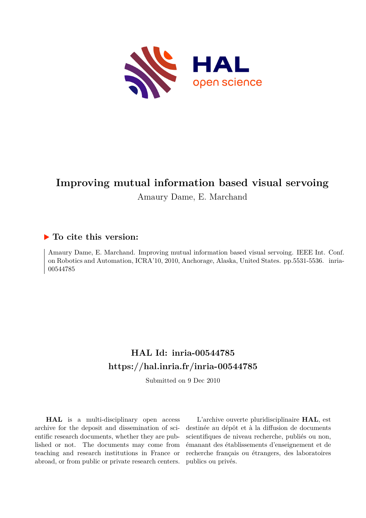

# **Improving mutual information based visual servoing** Amaury Dame, E. Marchand

## **To cite this version:**

Amaury Dame, E. Marchand. Improving mutual information based visual servoing. IEEE Int. Conf. on Robotics and Automation, ICRA'10, 2010, Anchorage, Alaska, United States. pp.5531-5536. inria-00544785ff

## **HAL Id: inria-00544785 <https://hal.inria.fr/inria-00544785>**

Submitted on 9 Dec 2010

**HAL** is a multi-disciplinary open access archive for the deposit and dissemination of scientific research documents, whether they are published or not. The documents may come from teaching and research institutions in France or abroad, or from public or private research centers.

L'archive ouverte pluridisciplinaire **HAL**, est destinée au dépôt et à la diffusion de documents scientifiques de niveau recherche, publiés ou non, émanant des établissements d'enseignement et de recherche français ou étrangers, des laboratoires publics ou privés.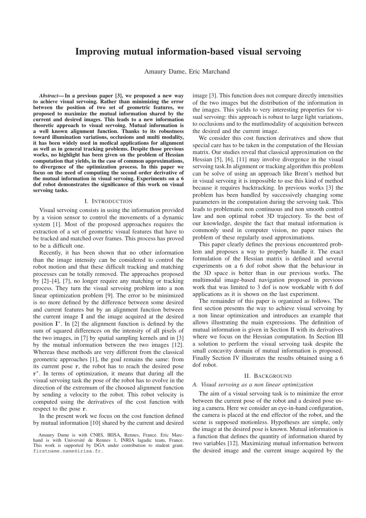## **Improving mutual information-based visual servoing**

Amaury Dame, Eric Marchand

*Abstract***— In a previous paper [3], we proposed a new way to achieve visual servoing. Rather than minimizing the error between the position of two set of geometric features, we proposed to maximize the mutual information shared by the current and desired images. This leads to a new information theoretic approach to visual servoing. Mutual information is a well known alignment function. Thanks to its robustness toward illumination variations, occlusions and multi modality, it has been widely used in medical applications for alignment as well as in general tracking problems. Despite those previous works, no highlight has been given on the problem of Hessian computation that yields, in the case of common approximations, to divergence of the optimization process. In this paper we focus on the need of computing the second order derivative of the mutual information in visual servoing. Experiments on a 6 dof robot demonstrates the significance of this work on visual servoing tasks.**

#### I. INTRODUCTION

Visual servoing consists in using the information provided by a vision sensor to control the movements of a dynamic system [1]. Most of the proposed approaches requires the extraction of a set of geometric visual features that have to be tracked and matched over frames. This process has proved to be a difficult one.

Recently, it has been shown that no other information than the image intensity can be considered to control the robot motion and that these difficult tracking and matching processes can be totally removed. The approaches proposed by [2]–[4], [7], no longer require any matching or tracking process. They turn the visual servoing problem into a non linear optimization problem [9]. The error to be minimized is no more defined by the difference between some desired and current features but by an alignment function between the current image **I** and the image acquired at the desired position **I**∗. In [2] the alignment function is defined by the sum of squared differences on the intensity of all pixels of the two images, in [7] by spatial sampling kernels and in [3] by the mutual information between the two images [12]. Whereas these methods are very different from the classical geometric approaches [1], the goal remains the same: from its current pose **r**, the robot has to reach the desired pose **r**∗. In terms of optimization, it means that during all the visual servoing task the pose of the robot has to evolve in the direction of the extremum of the choosed alignment function by sending a velocity to the robot. This robot velocity is computed using the derivatives of the cost function with respect to the pose **r**.

In the present work we focus on the cost function defined by mutual information [10] shared by the current and desired

Amaury Dame is with CNRS, IRISA, Rennes, France. Eric Marchand is with Université de Rennes 1, INRIA lagadic team, France. This work is supported by DGA under contribution to student grant. firstname.name@irisa.fr.

image [3]. This function does not compare directly intensities of the two images but the distribution of the information in the images. This yields to very interesting properties for visual servoing: this approach is robust to large light variations, to occlusions and to the mutlimodality of acquisition between the desired and the current image.

We consider this cost function derivatives and show that special care has to be taken in the computation of the Hessian matrix. Our studies reveal that classical approximation on the Hessian [5], [6], [11] may involve divergence in the visual servoing task.In alignment or tracking algorithm this problem can be solve of using an approach like Brent's method but in visual servoing it is impossible to use this kind of method because it requires backtracking. In previous works [3] the problem has been handled by successively changing some parameters in the computation during the servoing task. This leads to problematic non continuous and non smooth control law and non optimal robot 3D trajectory. To the best of our knowledge, despite the fact that mutual information is commonly used in computer vision, no paper raises the problem of these regularly used approximations.

This paper clearly defines the previous encountered problem and proposes a way to properly handle it. The exact formulation of the Hessian matrix is defined and several experiments on a 6 dof robot show that the behaviour in the 3D space is better than in our previous works. The multimodal image-based navigation proposed in previous work that was limited to 3 dof is now workable with 6 dof applications as it is shown on the last experiment.

The remainder of this paper is organized as follows. The first section presents the way to achieve visual servoing by a non linear optimization and introduces an example that allows illustrating the main expressions. The definition of mutual information is given in Section II with its derivatives where we focus on the Hessian computation. In Section III a solution to perform the visual servoing task despite the small concavity domain of mutual information is proposed. Finally Section IV illustrates the results obtained using a 6 dof robot.

#### II. BACKGROUND

#### *A. Visual servoing as a non linear optimization*

The aim of a visual servoing task is to minimize the error between the current pose of the robot and a desired pose using a camera. Here we consider an eye-in-hand configuration, the camera is placed at the end effector of the robot, and the scene is supposed motionless. Hypotheses are simple, only the image at the desired pose is known. Mutual information is a function that defines the quantity of information shared by two variables [12]. Maximizing mutual information between the desired image and the current image acquired by the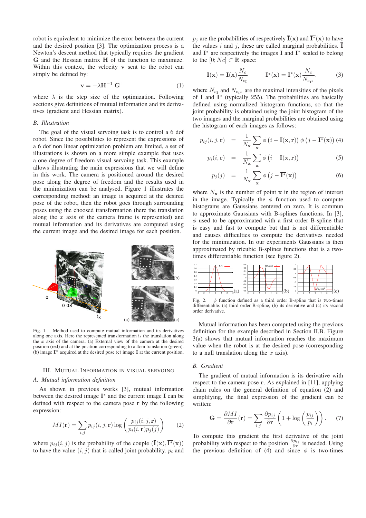robot is equivalent to minimize the error between the current and the desired position [3]. The optimization process is a Newton's descent method that typically requires the gradient **G** and the Hessian matrix **H** of the function to maximize. Within this context, the velocity **v** sent to the robot can simply be defined by:

$$
\mathbf{v} = -\lambda \mathbf{H}^{-1} \mathbf{G}^{\top}
$$
 (1)

where  $\lambda$  is the step size of the optimization. Following sections give definitions of mutual information and its derivatives (gradient and Hessian matrix).

#### *B. Illustration*

The goal of the visual servoing task is to control a 6 dof robot. Since the possibilities to represent the expressions of a 6 dof non linear optimization problem are limited, a set of illustrations is shown on a more simple example that uses a one degree of freedom visual servoing task. This example allows illustrating the main expressions that we will define in this work. The camera is positioned around the desired pose along the degree of freedom and the results used in the minimization can be analysed. Figure 1 illustrates the corresponding method: an image is acquired at the desired pose of the robot, then the robot goes through surrounding poses using the choosed transformation (here the translation along the  $x$  axis of the camera frame is represented) and mutual information and its derivatives are computed using the current image and the desired image for each position.



Fig. 1. Method used to compute mutual information and its derivatives along one axis. Here the represented transformation is the translation along the  $x$  axis of the camera. (a) External view of the camera at the desired position (red) and at the position corresponding to a 4cm translation (green). (b) image **I**∗ acquired at the desired pose (c) image **I** at the current position.

#### III. MUTUAL INFORMATION IN VISUAL SERVOING

#### *A. Mutual information definition*

As shown in previous works [3], mutual information between the desired image **I**<sup>∗</sup> and the current image **I** can be defined with respect to the camera pose **r** by the following expression:

$$
MI(\mathbf{r}) = \sum_{i,j} p_{ij}(i,j,\mathbf{r}) \log \left( \frac{p_{ij}(i,j,\mathbf{r})}{p_i(i,\mathbf{r})p_j(j)} \right) \tag{2}
$$

where  $p_{ij}(i, j)$  is the probability of the couple  $(\overline{\mathbf{I}}(\mathbf{x}), \overline{\mathbf{I}^*}(\mathbf{x}))$ to have the value  $(i, j)$  that is called joint probability.  $p_i$  and  $p_i$  are the probabilities of respectively  $\overline{\mathbf{I}}(\mathbf{x})$  and  $\overline{\mathbf{I}^*}(\mathbf{x})$  to have the values i and j, these are called marginal probabilities.  $\overline{I}$ and **I**<sup>∗</sup> are respectively the images **I** and **I**<sup>∗</sup> scaled to belong to the  $[0; Nc] \subset \mathbb{R}$  space:

$$
\overline{\mathbf{I}}(\mathbf{x}) = \mathbf{I}(\mathbf{x}) \frac{N_c}{N_{c_{\mathbf{I}}}} \qquad \overline{\mathbf{I}^*}(\mathbf{x}) = \mathbf{I}^*(\mathbf{x}) \frac{N_c}{N_{c_{\mathbf{I}^*}}}.
$$
 (3)

where  $N_{cI}$  and  $N_{cI*}$  are the maximal intensities of the pixels of **<sup>I</sup>** and **<sup>I</sup>**<sup>∗</sup> (typically 255). The probabilities are basically defined using normalized histogram functions, so that the joint probability is obtained using the joint histogram of the two images and the marginal probabilities are obtained using the histogram of each images as follows:

$$
p_{ij}(i,j,\mathbf{r}) = \frac{1}{N_{\mathbf{x}}} \sum_{\mathbf{x}} \phi\left(i - \overline{\mathbf{I}}(\mathbf{x}, \mathbf{r})\right) \phi\left(j - \overline{\mathbf{I}^*}(\mathbf{x})\right) (4)
$$

$$
p_i(i, \mathbf{r}) = \frac{1}{N_\mathbf{x}} \sum_\mathbf{x} \phi(i - \overline{\mathbf{I}}(\mathbf{x}, \mathbf{r})) \tag{5}
$$

$$
p_j(j) = \frac{1}{N_{\mathbf{x}}} \sum_{\mathbf{x}} \phi\left(j - \overline{\mathbf{I}^*}(\mathbf{x})\right)
$$
(6)

where  $N_x$  is the number of point **x** in the region of interest in the image. Typically the  $\phi$  function used to compute histograms are Gaussians centered on zero. It is commun to approximate Gaussians with B-splines functions. In [3],  $\phi$  used to be approximated with a first order B-spline that is easy and fast to compute but that is not differentiable and causes difficulties to compute the derivatives needed for the minimization. In our experiments Gaussians is then approximated by tricubic B-splines functions that is a twotimes differentiable function (see figure 2).



Fig. 2.  $\phi$  function defined as a third order B-spline that is two-times differentiable. (a) third order B-spline, (b) its derivative and (c) its second order derivative.

Mutual information has been computed using the previous definition for the example described in Section II.B. Figure 3(a) shows that mutual information reaches the maximum value when the robot is at the desired pose (corresponding to a null translation along the  $x$  axis).

#### *B. Gradient*

The gradient of mutual information is its derivative with respect to the camera pose **r**. As explained in [11], applying chain rules on the general definition of equation (2) and simplifying, the final expression of the gradient can be written:

$$
\mathbf{G} = \frac{\partial MI}{\partial \mathbf{r}}(\mathbf{r}) = \sum_{i,j} \frac{\partial p_{ij}}{\partial \mathbf{r}} \left( 1 + \log \left( \frac{p_{ij}}{p_i} \right) \right). \tag{7}
$$

To compute this gradient the first derivative of the joint probability with respect to the position  $\frac{\partial p_{ij}}{\partial \mathbf{r}}$  is needed. Using the previous definition of (4) and since  $\phi$  is two-times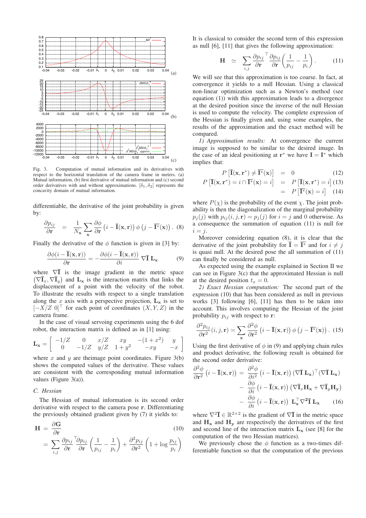

Fig. 3. Computation of mutual information and its derivatives with respect to the horizontal translation of the camera frame in meters. (a) Mutual information, (b) first derivative of mutual information and (c) second order derivatives with and without approximations.  $[\delta_1, \delta_2]$  represents the concavity domain of mutual information.

differentiable, the derivative of the joint probability is given by:

$$
\frac{\partial p_{ij}}{\partial \mathbf{r}} = \frac{1}{N_{\mathbf{x}}} \sum_{\mathbf{x}} \frac{\partial \phi}{\partial \mathbf{r}} (i - \overline{\mathbf{I}}(\mathbf{x}, \mathbf{r})) \phi (j - \overline{\mathbf{I}^*}(\mathbf{x})) . (8)
$$

Finally the derivative of the  $\phi$  function is given in [3] by:

$$
\frac{\partial \phi(i - \overline{\mathbf{I}}(\mathbf{x}, \mathbf{r}))}{\partial \mathbf{r}} = -\frac{\partial \phi(i - \overline{\mathbf{I}}(\mathbf{x}, \mathbf{r}))}{\partial i} \nabla \overline{\mathbf{I}} \mathbf{L}_{\mathbf{x}} \tag{9}
$$

where  $\nabla \overline{\mathbf{I}}$  is the image gradient in the metric space  $(\nabla \overline{\mathbf{I}}_x, \nabla \overline{\mathbf{I}}_y)$  and  $\mathbf{L}_\mathbf{x}$  is the interaction matrix that links the displacement of a point with the velocity of the robot. To illustrate the results with respect to a single translation along the x axis with a perspective projection,  $L_x$  is set to  $[-X/Z\ 0]^\top$  for each point of coordinates  $(X, Y, Z)$  in the camera frame.

In the case of visual servoing experiments using the 6 dof robot, the interaction matrix is defined as in [1] using:

$$
\mathbf{L}_{\mathbf{x}} = \begin{bmatrix} -1/Z & 0 & x/Z & xy & -(1+x^2) & y \\ 0 & -1/Z & y/Z & 1+y^2 & -xy & -x \end{bmatrix}
$$

where  $x$  and  $y$  are theimage point coordinates. Figure 3(b) shows the computed values of the derivative. These values are consistent with the corresponding mutual information values (Figure 3(a)).

#### *C. Hessian*

The Hessian of mutual information is its second order derivative with respect to the camera pose **r**. Differentiating the previously obtained gradient given by (7) it yields to:

$$
\mathbf{H} = \frac{\partial \mathbf{G}}{\partial \mathbf{r}} \tag{10}
$$
\n
$$
= \sum_{i,j} \frac{\partial p_{ij}}{\partial \mathbf{r}}^T \frac{\partial p_{ij}}{\partial \mathbf{r}} \left( \frac{1}{p_{ij}} - \frac{1}{p_i} \right) + \frac{\partial^2 p_{ij}}{\partial \mathbf{r}^2} \left( 1 + \log \frac{p_{ij}}{p_i} \right)
$$

It is classical to consider the second term of this expression as null [6], [11] that gives the following approximation:

$$
\mathbf{H} \quad \simeq \quad \sum_{i,j} \frac{\partial p_{ij}}{\partial \mathbf{r}}^\top \frac{\partial p_{ij}}{\partial \mathbf{r}} \left( \frac{1}{p_{ij}} - \frac{1}{p_i} \right). \tag{11}
$$

We will see that this approximation is too coarse. In fact, at convergence it yields to a null Hessian. Using a classical non-linear optimization such as a Newton's method (see equation (1)) with this approximation leads to a divergence at the desired position since the inverse of the null Hessian is used to compute the velocity. The complete expression of the Hessian is finally given and, using some examples, the results of the approximation and the exact method will be compared.

*1) Approximation results:* At convergence the current image is supposed to be similar to the desired image. In the case of an ideal positioning at  $\mathbf{r}^*$  we have  $\mathbf{I} = \mathbf{I}^*$  which implies that:

$$
P\left[\overline{\mathbf{I}}(\mathbf{x}, \mathbf{r}^*) \neq \overline{\mathbf{I}^*}(\mathbf{x})\right] = 0 \tag{12}
$$

$$
P\left[\overline{\mathbf{I}}(\mathbf{x}, \mathbf{r}^*) = i \cap \overline{\mathbf{I}^*}(\mathbf{x}) = i\right] = P\left[\overline{\mathbf{I}}(\mathbf{x}, \mathbf{r}^*) = i\right] (13)
$$

$$
= P\left[\overline{\mathbf{I}^*}(\mathbf{x}) = i\right] (14)
$$

where  $P(\chi)$  is the probability of the event  $\chi$ . The joint probability is then the diagonalization of the marginal probability  $p_i(j)$  with  $p_{ij}(i, j, r) = p_i(j)$  for  $i = j$  and 0 otherwise. As a consequence the summation of equation (11) is null for  $i = j$ .

Moreover considering equation (8), it is clear that the derivative of the joint probability for  $\overline{I} = \overline{I^*}$  and for  $i \neq j$ is quasi null. At the desired pose the all summation of (11) can finally be considered as null.

As expected using the example explained in Section II we can see in Figure 3(c) that the approximated Hessian is null at the desired position  $t_x = 0$ .

*2) Exact Hessian computation:* The second part of the expression (10) that has been considered as null in previous works [3] following [6], [11] has then to be taken into account. This involves computing the Hessian of the joint probability  $p_{ij}$  with respect to **r**:

$$
\frac{\partial^2 p_{ij}}{\partial \mathbf{r}^2}(i,j,\mathbf{r}) = \sum_{\mathbf{x}} \frac{\partial^2 \phi}{\partial \mathbf{r}^2} \left(i - \overline{\mathbf{I}}(\mathbf{x}, \mathbf{r})\right) \phi\left(j - \overline{\mathbf{I}^*}(\mathbf{x})\right). (15)
$$

Using the first derivative of  $\phi$  in (9) and applying chain rules and product derivative, the following result is obtained for the second order derivative:

$$
\frac{\partial^2 \phi}{\partial \mathbf{r}^2} (i - \overline{\mathbf{I}}(\mathbf{x}, \mathbf{r})) = \frac{\partial^2 \phi}{\partial i^2} (i - \overline{\mathbf{I}}(\mathbf{x}, \mathbf{r})) (\nabla \overline{\mathbf{I}} \mathbf{L}_{\mathbf{x}})^\top (\nabla \overline{\mathbf{I}} \mathbf{L}_{\mathbf{x}})
$$

$$
- \frac{\partial \phi}{\partial i} (i - \overline{\mathbf{I}}(\mathbf{x}, \mathbf{r})) (\nabla \overline{\mathbf{I}}_x \mathbf{H}_{\mathbf{x}} + \nabla \overline{\mathbf{I}}_y \mathbf{H}_{\mathbf{y}})
$$

$$
- \frac{\partial \phi}{\partial i} (i - \overline{\mathbf{I}}(\mathbf{x}, \mathbf{r})) \mathbf{L}_{\mathbf{x}}^\top \nabla^2 \overline{\mathbf{I}} \mathbf{L}_{\mathbf{x}} \qquad (16)
$$

where  $\nabla^2 \overline{\mathbf{I}} \in \mathbb{R}^{2 \times 2}$  is the gradient of  $\nabla \overline{\mathbf{I}}$  in the metric space and  $H_x$  and  $H_y$  are respectively the derivatives of the first and second line of the interaction matrix  $L<sub>x</sub>$  (see [8] for the computation of the two Hessian matrices).

We previously chose the  $\phi$  function as a two-times differentiable function so that the computation of the previous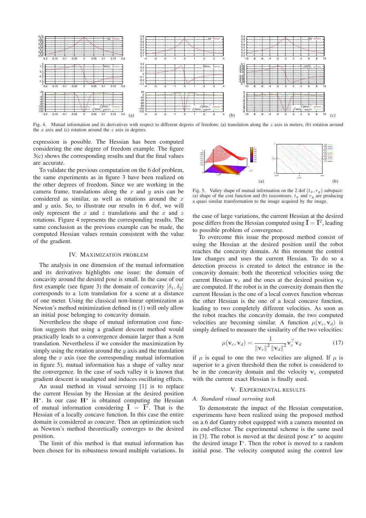

Fig. 4. Mutual information and its derivatives with respect to different degrees of freedom: (a) translation along the  $z$  axis in meters, (b) rotation around the  $x$  axis and (c) rotation around the  $z$  axis in degrees.

expression is possible. The Hessian has been computed considering the one degree of freedom example. The figure 3(c) shows the corresponding results and that the final values are accurate.

To validate the previous computation on the 6 dof problem, the same experiments as in figure 3 have been realized on the other degrees of freedom. Since we are working in the camera frame, translations along the  $x$  and  $y$  axis can be considered as similar, as well as rotations around the  $x$ and  $y$  axis. So, to illustrate our results in 6 dof, we will only represent the  $x$  and  $z$  translations and the  $x$  and  $z$ rotations. Figure 4 represents the corresponding results. The same conclusion as the previous example can be made, the computed Hessian values remain consistent with the value of the gradient.

#### IV. MAXIMIZATION PROBLEM

The analysis in one dimension of the mutual information and its derivatives highlights one issue: the domain of concavity around the desired pose is small. In the case of our first example (see figure 3) the domain of concavity  $[\delta_1, \delta_2]$ corresponds to a 1cm translation for a scene at a distance of one meter. Using the classical non-linear optimization as Newton's method minimization defined in (1) will only allow an initial pose belonging to concavity domain.

Nevertheless the shape of mutual information cost function suggests that using a gradient descent method would practically leads to a convergence domain larger than a 8cm translation. Nevertheless if we consider the maximization by simply using the rotation around the  $y$  axis and the translation along the  $x$  axis (see the corresponding mutual information in figure 5), mutual information has a shape of valley near the convergence. In the case of such valley it is known that gradient descent is unadapted and induces oscillating effects.

An usual method in visual servoing [1] is to replace the current Hessian by the Hessian at the desired position **H**∗. In our case **H**<sup>∗</sup> is obtained computing the Hessian of mutual information considering  $\overline{I} = \overline{I^*}$ . That is the Hessian of a locally concave function. In this case the entire domain is considered as concave. Then an optimization such as Newton's method theoretically converges to the desired position.

The limit of this method is that mutual information has been chosen for its robustness toward multiple variations. In



Fig. 5. Valley shape of mutual information on the 2 dof  $(t_x, r_y)$  subspace: (a) shape of the cost function and (b) isocontours.  $t_x$  and  $r_y$  are producing a quasi similar transformation to the image acquired by the image.

the case of large variations, the current Hessian at the desired pose differs from the Hessian computed using  $\bar{\mathbf{I}} = \bar{\mathbf{I}^*}$ , leading to possible problem of convergence.

To overcome this issue the proposed method consist of using the Hessian at the desired position until the robot reaches the concavity domain. At this moment the control law changes and uses the current Hessian. To do so a detection process is created to detect the entrance in the concavity domain: both the theoretical velocities using the current Hessian  $v_c$  and the ones at the desired position  $v_d$ are computed. If the robot is in the convexity domain then the current Hessian is the one of a local convex function whereas the other Hessian is the one of a local concave function, leading to two completely different velocities. As soon as the robot reaches the concavity domain, the two computed velocities are becoming similar. A function  $\mu(\mathbf{v}_c, \mathbf{v}_d)$  is simply defined to measure the similarity of the two velocities:

$$
\mu(\mathbf{v}_c, \mathbf{v}_d) = \frac{1}{\|\mathbf{v}_c\|^2 \left\|\mathbf{v}_d\right\|^2} \mathbf{v}_c^\top \mathbf{v}_d \tag{17}
$$

if  $\mu$  is equal to one the two velocities are aligned. If  $\mu$  is superior to a given threshold then the robot is considered to be in the concavity domain and the velocity  $v_c$  computed with the current exact Hessian is finally used.

#### V. EXPERIMENTAL RESULTS

#### *A. Standard visual servoing task*

To demonstrate the impact of the Hessian computation, experiments have been realized using the proposed method on a 6 dof Gantry robot equipped with a camera mounted on its end-effector. The experimental scheme is the same used in [3]. The robot is moved at the desired pose **r**<sup>∗</sup> to acquire the desired image **I**∗. Then the robot is moved to a random initial pose. The velocity computed using the control law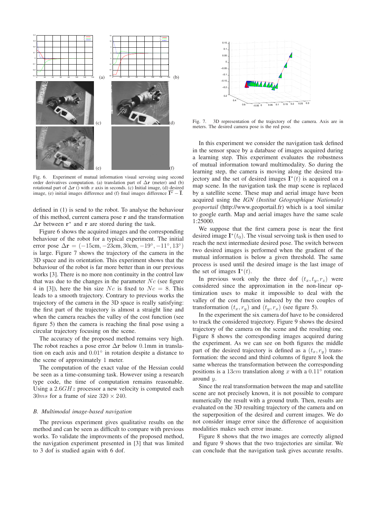

Fig. 6. Experiment of mutual information visual servoing using second order derivatives computation. (a) translation part of Δ**r** (meter) and (b) rotational part of  $\Delta \mathbf{r}$  () with x axis in seconds. (c) Initial image, (d) desired image, (e) initial images difference and (f) final images difference  $\overline{\mathbf{I}^*} - \overline{\mathbf{I}}$ .

defined in (1) is send to the robot. To analyse the behaviour of this method, current camera pose **r** and the transformation <sup>Δ</sup>**<sup>r</sup>** between **<sup>r</sup>**<sup>∗</sup> and **<sup>r</sup>** are stored during the task.

Figure 6 shows the acquired images and the corresponding behaviour of the robot for a typical experiment. The initial error pose  $\Delta r = (-15cm, -23cm, 30cm, -19°, -11°, 13°)$ is large. Figure 7 shows the trajectory of the camera in the 3D space and its orientation. This experiment shows that the behaviour of the robot is far more better than in our previous works [3]. There is no more non continuity in the control law that was due to the changes in the parameter  $N_c$  (see figure 4 in [3]), here the bin size Nc is fixed to  $N_c = 8$ . This leads to a smooth trajectory. Contrary to previous works the trajectory of the camera in the 3D space is really satisfying: the first part of the trajectory is almost a straight line and when the camera reaches the valley of the cost function (see figure 5) then the camera is reaching the final pose using a circular trajectory focusing on the scene.

The accuracy of the proposed method remains very high. The robot reaches a pose error Δ**<sup>r</sup>** below 0.1mm in translation on each axis and <sup>0</sup>.01◦ in rotation despite a distance to the scene of approximately 1 meter.

The computation of the exact value of the Hessian could be seen as a time-consuming task. However using a research type code, the time of computation remains reasonable. Using a  $2.6GHz$  processor a new velocity is computed each  $30ms$  for a frame of size  $320 \times 240$ .

#### *B. Multimodal image-based navigation*

The previous experiment gives qualitative results on the method and can be seen as difficult to compare with previous works. To validate the improvments of the proposed method, the navigation experiment presented in [3] that was limited to 3 dof is studied again with 6 dof.



Fig. 7. 3D representation of the trajectory of the camera. Axis are in meters. The desired camera pose is the red pose.

In this experiment we consider the navigation task defined in the sensor space by a database of images acquired during a learning step. This experiment evaluates the robustness of mutual information toward multimodality. So during the learning step, the camera is moving along the desired trajectory and the set of desired images  $\mathbf{I}^*(t)$  is acquired on a map scene. In the navigation task the map scene is replaced by a satellite scene. These map and aerial image have been acquired using the *IGN (Institut Geographique Nationale) ´ geoportail* (http://www.geoportail.fr) which is a tool similar to google earth. Map and aerial images have the same scale 1:25000.

We suppose that the first camera pose is near the first desired image  $I^*(t_0)$ . The visual servoing task is then used to reach the next intermediate desired pose. The switch between two desired images is performed when the gradient of the mutual information is below a given threshold. The same process is used until the desired image is the last image of the set of images  $\mathbf{I}^*(t)$ .

In previous work only the three dof  $(t_x, t_y, r_z)$  were considered since the approximation in the non-linear optimization uses to make it impossible to deal with the valley of the cost function induced by the two couples of transformation  $(t_x, r_y)$  and  $(t_y, r_x)$  (see figure 5).

In the experiment the six camera dof have to be considered to track the considered trajectory. Figure 9 shows the desired trajectory of the camera on the scene and the resulting one. Figure 8 shows the corresponding images acquired during the experiment. As we can see on both figures the middle part of the desired trajectory is defined as a  $(t_x, r_y)$  transformation: the second and third columns of figure 8 look the same whereas the transformation between the corresponding positions is a 13 $cm$  translation along x with a 0.11 $^{\circ}$  rotation around y.

Since the real transformation between the map and satellite scene are not precisely known, it is not possible to compare numerically the result with a ground truth. Then, results are evaluated on the 3D resulting trajectory of the camera and on the superposition of the desired and current images. We do not consider image error since the difference of acquisition modalities makes such error insane.

Figure 8 shows that the two images are correctly aligned and figure 9 shows that the two trajectories are similar. We can conclude that the navigation task gives accurate results.